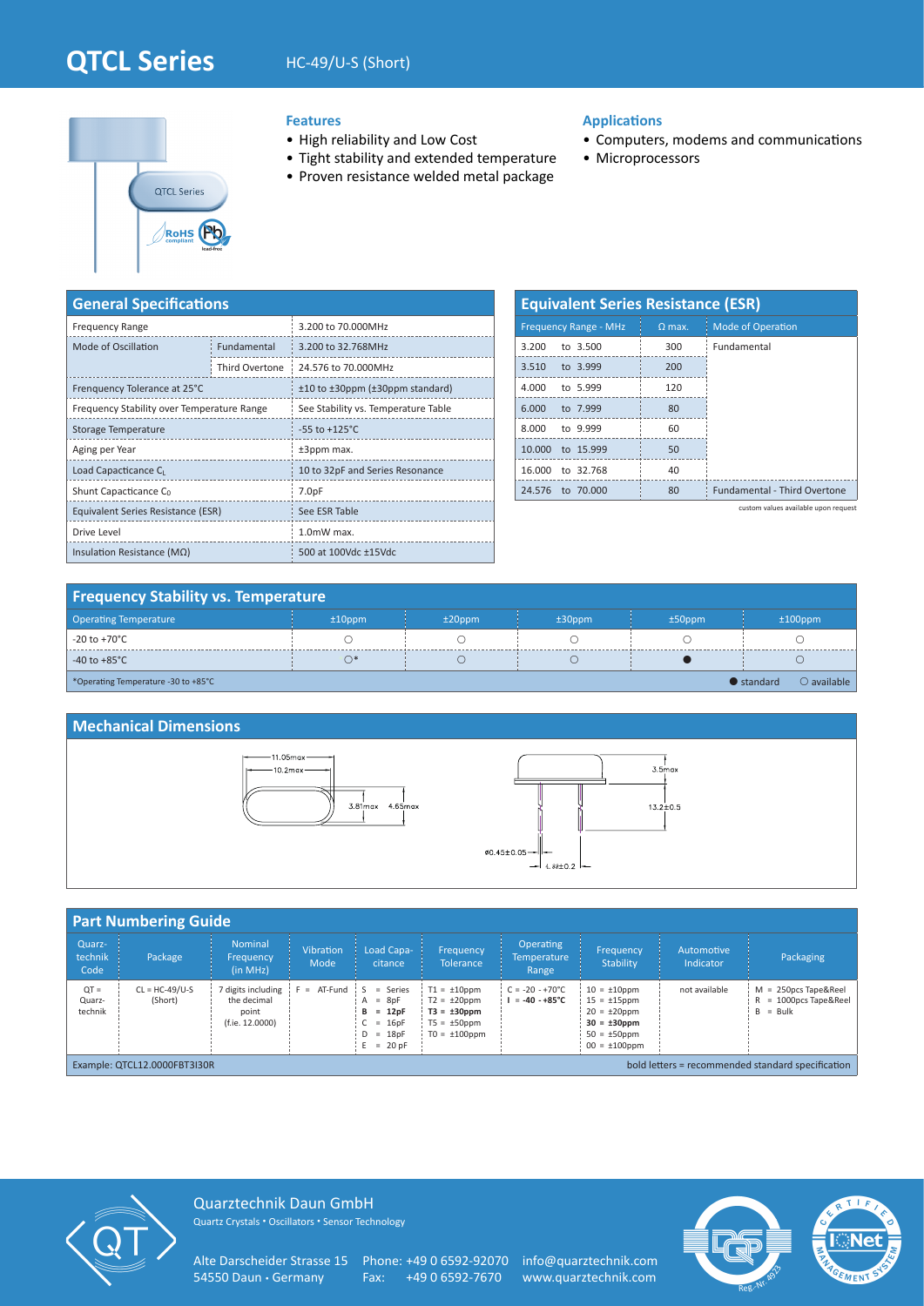# **QTCL Series** HC-49/U-S (Short)



### **Features**

- High reliability and Low Cost
- Tight stability and extended temperature
- Proven resistance welded metal package

### **Applications**

- Computers, modems and communications
- Microprocessors

| <b>General Specifications</b>              |                    |                                               |  |  |  |  |  |  |  |  |
|--------------------------------------------|--------------------|-----------------------------------------------|--|--|--|--|--|--|--|--|
| <b>Frequency Range</b>                     |                    | 3.200 to 70.000MHz                            |  |  |  |  |  |  |  |  |
| Mode of Oscillation                        | <b>Fundamental</b> | 3.200 to 32.768MHz                            |  |  |  |  |  |  |  |  |
|                                            | Third Overtone     | 24.576 to 70.000MHz                           |  |  |  |  |  |  |  |  |
| Frenquency Tolerance at 25°C               |                    | ±10 to ±30ppm (±30ppm standard)               |  |  |  |  |  |  |  |  |
| Frequency Stability over Temperature Range |                    | See Stability vs. Temperature Table           |  |  |  |  |  |  |  |  |
| Storage Temperature                        |                    | $-55$ to $+125^{\circ}$ C                     |  |  |  |  |  |  |  |  |
| Aging per Year                             |                    | ±3ppm max.<br>10 to 32pF and Series Resonance |  |  |  |  |  |  |  |  |
| Load Capacticance C <sub>L</sub>           |                    |                                               |  |  |  |  |  |  |  |  |
| Shunt Capacticance C <sub>0</sub>          |                    | 7.0 <sub>pF</sub>                             |  |  |  |  |  |  |  |  |
| Equivalent Series Resistance (ESR)         |                    | See ESR Table                                 |  |  |  |  |  |  |  |  |
| Drive Level                                |                    | 1.0mW max.                                    |  |  |  |  |  |  |  |  |
| Insulation Resistance ( $M\Omega$ )        |                    | 500 at 100Vdc ±15Vdc                          |  |  |  |  |  |  |  |  |

| <b>Equivalent Series Resistance (ESR)</b> |                              |          |                                     |  |  |  |  |  |  |  |  |
|-------------------------------------------|------------------------------|----------|-------------------------------------|--|--|--|--|--|--|--|--|
|                                           | <b>Frequency Range - MHz</b> | $Q$ max. | <b>Mode of Operation</b>            |  |  |  |  |  |  |  |  |
| 3.200                                     | to $3.500$                   | 300      | Fundamental                         |  |  |  |  |  |  |  |  |
| 3.510                                     | to 3.999                     | 200      |                                     |  |  |  |  |  |  |  |  |
|                                           | 4.000 to 5.999               | 120      |                                     |  |  |  |  |  |  |  |  |
| 6.000                                     | to 7.999                     | 80       |                                     |  |  |  |  |  |  |  |  |
| 8.000                                     | to 9.999                     | 60       |                                     |  |  |  |  |  |  |  |  |
|                                           | 10.000 to 15.999             | 50       |                                     |  |  |  |  |  |  |  |  |
| 16.000                                    | to 32.768                    | 40       |                                     |  |  |  |  |  |  |  |  |
| 24.576                                    | to 70,000                    | 80       | <b>Fundamental - Third Overtone</b> |  |  |  |  |  |  |  |  |

custom values available upon request

## **Frequency Stability vs. Temperature**

| <b>Operating Temperature</b>        | $±10$ ppm | $±20$ ppm | $±30$ ppm | $±50$ ppm | $±100$ ppm                                 |
|-------------------------------------|-----------|-----------|-----------|-----------|--------------------------------------------|
| $\vert$ -20 to +70°C                |           |           |           |           |                                            |
| $-40$ to $+85^{\circ}$ C            | ⌒∗        |           |           |           |                                            |
| *Operating Temperature -30 to +85°C |           |           |           |           | $\bigcirc$ available<br>$\bullet$ standard |

#### **Mechanical Dimensions**





| <b>Part Numbering Guide</b>                                                       |                             |                                                                                |                          |                                                                                                |                                                                                                     |                                                      |                                                                                                                             |                         |                                                                     |  |  |  |
|-----------------------------------------------------------------------------------|-----------------------------|--------------------------------------------------------------------------------|--------------------------|------------------------------------------------------------------------------------------------|-----------------------------------------------------------------------------------------------------|------------------------------------------------------|-----------------------------------------------------------------------------------------------------------------------------|-------------------------|---------------------------------------------------------------------|--|--|--|
| Quarz-<br>technik<br>Code                                                         | Package                     | <b>Nominal</b><br>Frequency<br>(in MHz)                                        | <b>Vibration</b><br>Mode | Load Capa-<br>citance                                                                          | Frequency<br><b>Tolerance</b>                                                                       | <b>Operating</b><br><b>Temperature</b><br>Range      | Frequency<br><b>Stability</b>                                                                                               | Automotive<br>Indicator | Packaging                                                           |  |  |  |
| $QT =$<br>Quarz-<br>technik                                                       | $CL = HC-49/U-S$<br>(Short) | 7 digits including<br>$F = AT-Fund$<br>the decimal<br>point<br>(f.ie. 12.0000) |                          | $\mathsf{S}$<br>= Series<br>$A = 8pF$<br>$B = 12pF$<br>$C = 16pF$<br>$D = 18pF$<br>$E = 20$ pF | $T1 = \pm 10$ ppm<br>$T2 = \pm 20$ ppm<br>$T3 = \pm 30$ ppm<br>$T5 = \pm 50$ ppm<br>$TO = ±100$ ppm | $C = -20 - +70^{\circ}C$<br>$I = -40 - +85^{\circ}C$ | $10 = \pm 10$ ppm<br>$15 = \pm 15$ ppm<br>$20 = \pm 20$ ppm<br>$30 = \pm 30$ ppm<br>$50 = \pm 50$ ppm<br>$00 = \pm 100$ ppm | not available           | $M = 250DCS$ Tape&Reel<br>= 1000pcs Tape&Reel<br>R<br>$=$ Bulk<br>B |  |  |  |
| bold letters = recommended standard specification<br>Example: QTCL12.0000FBT3I30R |                             |                                                                                |                          |                                                                                                |                                                                                                     |                                                      |                                                                                                                             |                         |                                                                     |  |  |  |



Quarztechnik Daun GmbH Quartz Crystals • Oscillators • Sensor Technology

Alte Darscheider Strasse 15 Phone: +49 0 6592-92070 info@quarztechnik.com<br>54550 Daun • Germany Fax: +49 0 6592-7670 www.quarztechnik.com

Fax: +49 0 6592-7670 www.quarztechnik.com